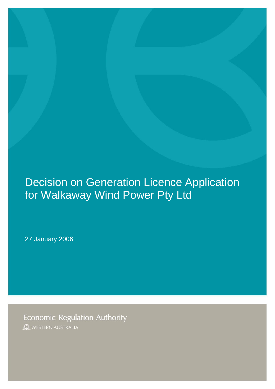## Decision on Generation Licence Application for Walkaway Wind Power Pty Ltd

27 January 2006

**Economic Regulation Authority** WESTERN AUSTRALIA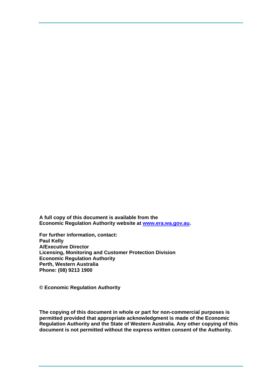**A full copy of this document is available from the Economic Regulation Authority website at [www.era.wa.gov.au](http://www.era.wa.gov.au/).** 

**For further information, contact: Paul Kelly A/Executive Director Licensing, Monitoring and Customer Protection Division Economic Regulation Authority Perth, Western Australia Phone: (08) 9213 1900** 

**© Economic Regulation Authority** 

**The copying of this document in whole or part for non-commercial purposes is permitted provided that appropriate acknowledgment is made of the Economic Regulation Authority and the State of Western Australia. Any other copying of this document is not permitted without the express written consent of the Authority.**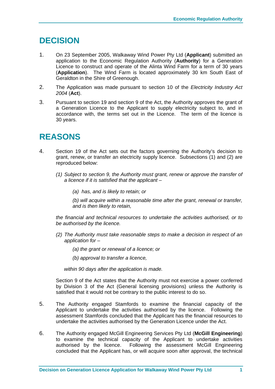## **DECISION**

- 1. On 23 September 2005, Walkaway Wind Power Pty Ltd (**Applicant**) submitted an application to the Economic Regulation Authority (**Authority**) for a Generation Licence to construct and operate of the Alinta Wind Farm for a term of 30 years (**Application**). The Wind Farm is located approximately 30 km South East of Geraldton in the Shire of Greenough.
- 2. The Application was made pursuant to section 10 of the *Electricity Industry Act 2004* (**Act**).
- 3. Pursuant to section 19 and section 9 of the Act, the Authority approves the grant of a Generation Licence to the Applicant to supply electricity subject to, and in accordance with, the terms set out in the Licence. The term of the licence is 30 years.

## **REASONS**

- 4. Section 19 of the Act sets out the factors governing the Authority's decision to grant, renew, or transfer an electricity supply licence. Subsections (1) and (2) are reproduced below:
	- *(1) Subject to section 9, the Authority must grant, renew or approve the transfer of a licence if it is satisfied that the applicant –* 
		- *(a) has, and is likely to retain; or*

*(b) will acquire within a reasonable time after the grant, renewal or transfer, and is then likely to retain,* 

*the financial and technical resources to undertake the activities authorised, or to be authorised by the licence.* 

- *(2) The Authority must take reasonable steps to make a decision in respect of an application for –* 
	- *(a) the grant or renewal of a licence; or*
	- *(b) approval to transfer a licence,*

*within 90 days after the application is made.* 

Section 9 of the Act states that the Authority must not exercise a power conferred by Division 3 of the Act (General licensing provisions) unless the Authority is satisfied that it would not be contrary to the public interest to do so.

- 5. The Authority engaged Stamfords to examine the financial capacity of the Applicant to undertake the activities authorised by the licence. Following the assessment Stamfords concluded that the Applicant has the financial resources to undertake the activities authorised by the Generation Licence under the Act.
- 6. The Authority engaged McGill Engineering Services Pty Ltd (**McGill Engineering**) to examine the technical capacity of the Applicant to undertake activities authorised by the licence. Following the assessment McGill Engineering concluded that the Applicant has, or will acquire soon after approval, the technical